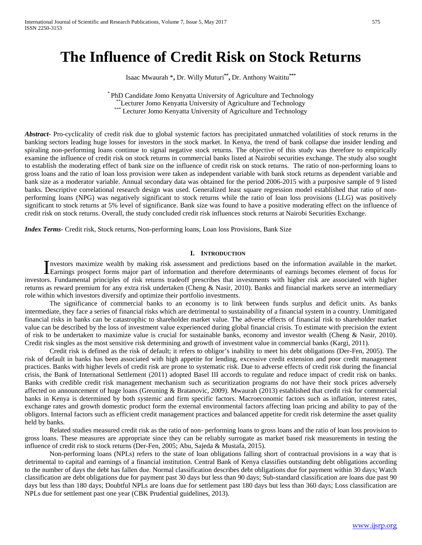# **The Influence of Credit Risk on Stock Returns**

Isaac Mwaurah \***,** Dr. Willy Muturi**\*\*,** Dr. Anthony Waititu**\*\*\***

\* PhD Candidate Jomo Kenyatta University of Agriculture and Technology \*\*Lecturer Jomo Kenyatta University of Agriculture and Technology \*\*\* Lecturer Jomo Kenyatta University of Agriculture and Technology

*Abstract* Pro-cyclicality of credit risk due to global systemic factors has precipitated unmatched volatilities of stock returns in the banking sectors leading huge losses for investors in the stock market. In Kenya, the trend of bank collapse due insider lending and spiraling non-performing loans continue to signal negative stock returns. The objective of this study was therefore to empirically examine the influence of credit risk on stock returns in commercial banks listed at Nairobi securities exchange. The study also sought to establish the moderating effect of bank size on the influence of credit risk on stock returns. The ratio of non-performing loans to gross loans and the ratio of loan loss provision were taken as independent variable with bank stock returns as dependent variable and bank size as a moderator variable. Annual secondary data was obtained for the period 2006-2015 with a purposive sample of 9 listed banks. Descriptive correlational research design was used. Generalized least square regression model established that ratio of nonperforming loans (NPG) was negatively significant to stock returns while the ratio of loan loss provisions (LLG) was positively significant to stock returns at 5% level of significance. Bank size was found to have a positive moderating effect on the influence of credit risk on stock returns. Overall, the study concluded credit risk influences stock returns at Nairobi Securities Exchange.

*Index Terms*- Credit risk, Stock returns, Non-performing loans, Loan loss Provisions, Bank Size

#### **I. INTRODUCTION**

nvestors maximize wealth by making risk assessment and predictions based on the information available in the market. Investors maximize wealth by making risk assessment and predictions based on the information available in the market.<br>Earnings prospect forms major part of information and therefore determinants of earnings becomes element investors. Fundamental principles of risk returns tradeoff prescribes that investments with higher risk are associated with higher returns as reward premium for any extra risk undertaken (Cheng & Nasir, 2010). Banks and financial markets serve an intermediary role within which investors diversify and optimize their portfolio investments.

The significance of commercial banks to an economy is to link between funds surplus and deficit units. As banks intermediate, they face a series of financial risks which are detrimental to sustainability of a financial system in a country. Unmitigated financial risks in banks can be catastrophic to shareholder market value. The adverse effects of financial risk to shareholder market value can be described by the loss of investment value experienced during global financial crisis. To estimate with precision the extent of risk to be undertaken to maximize value is crucial for sustainable banks, economy and investor wealth (Cheng & Nasir, 2010). Credit risk singles as the most sensitive risk determining and growth of investment value in commercial banks (Kargi, 2011).

Credit risk is defined as the risk of default; it refers to obligor's inability to meet his debt obligations (Der-Fen, 2005). The risk of default in banks has been associated with high appetite for lending, excessive credit extension and poor credit management practices. Banks with higher levels of credit risk are prone to systematic risk. Due to adverse effects of credit risk during the financial crisis, the Bank of International Settlement (2011) adopted Basel III accords to regulate and reduce impact of credit risk on banks. Banks with credible credit risk management mechanism such as securitization programs do not have their stock prices adversely affected on announcement of huge loans (Greuning & Bratanovic, 2009). Mwaurah (2013) established that credit risk for commercial banks in Kenya is determined by both systemic and firm specific factors. Macroeconomic factors such as inflation, interest rates, exchange rates and growth domestic product form the external environmental factors affecting loan pricing and ability to pay of the obligors. Internal factors such as efficient credit management practices and balanced appetite for credit risk determine the asset quality held by banks.

Related studies measured credit risk as the ratio of non- performing loans to gross loans and the ratio of loan loss provision to gross loans. These measures are appropriate since they can be reliably surrogate as market based risk measurements in testing the influence of credit risk to stock returns (Der-Fen, 2005; Abu, Sajeda & Mustafa, 2015).

Non-performing loans (NPLs) refers to the state of loan obligations falling short of contractual provisions in a way that is detrimental to capital and earnings of a financial institution. Central Bank of Kenya classifies outstanding debt obligations according to the number of days the debt has fallen due. Normal classification describes debt obligations due for payment within 30 days; Watch classification are debt obligations due for payment past 30 days but less than 90 days; Sub-standard classification are loans due past 90 days but less than 180 days; Doubtful NPLs are loans due for settlement past 180 days but less than 360 days; Loss classification are NPLs due for settlement past one year (CBK Prudential guidelines, 2013).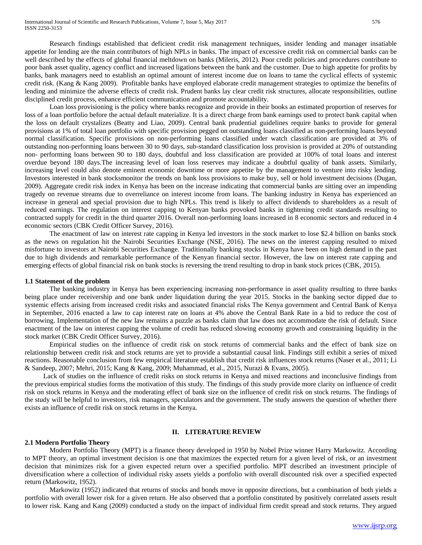Research findings established that deficient credit risk management techniques, insider lending and manager insatiable appetite for lending are the main contributors of high NPLs in banks. The impact of excessive credit risk on commercial banks can be well described by the effects of global financial meltdown on banks (Mileris, 2012). Poor credit policies and procedures contribute to poor bank asset quality, agency conflict and increased ligations between the bank and the customer. Due to high appetite for profits by banks, bank managers need to establish an optimal amount of interest income due on loans to tame the cyclical effects of systemic credit risk. (Kang & Kang 2009). Profitable banks have employed elaborate credit management strategies to optimize the benefits of lending and minimize the adverse effects of credit risk. Prudent banks lay clear credit risk structures, allocate responsibilities, outline disciplined credit process, enhance efficient communication and promote accountability.

Loan loss provisioning is the policy where banks recognize and provide in their books an estimated proportion of reserves for loss of a loan portfolio before the actual default materialize. It is a direct charge from bank earnings used to protect bank capital when the loss on default crystalizes (Beatty and Liao, 2009). Central bank prudential guidelines require banks to provide for general provisions at 1% of total loan portfolio with specific provision pegged on outstanding loans classified as non-performing loans beyond normal classification. Specific provisions on non-performing loans classified under watch classification are provided at 3% of outstanding non-performing loans between 30 to 90 days, sub-standard classification loss provision is provided at 20% of outstanding non- performing loans between 90 to 180 days, doubtful and loss classification are provided at 100% of total loans and interest overdue beyond 180 days.The increasing level of loan loss reserves may indicate a doubtful quality of bank assets. Similarly, increasing level could also denote eminent economic downtime or more appetite by the management to venture into risky lending. Investors interested in bank stocksmonitor the trends on bank loss provisions to make buy, sell or hold investment decisions (Dugan, 2009). Aggregate credit risk index in Kenya has been on the increase indicating that commercial banks are sitting over an impending tragedy on revenue streams due to overreliance on interest income from loans. The banking industry in Kenya has experienced an increase in general and special provision due to high NPLs. This trend is likely to affect dividends to shareholders as a result of reduced earnings. The regulation on interest capping to Kenyan banks provoked banks in tightening credit standards resulting to contracted supply for credit in the third quarter 2016. Overall non-performing loans increased in 8 economic sectors and reduced in 4 economic sectors (CBK Credit Officer Survey, 2016).

The enactment of law on interest rate capping in Kenya led investors in the stock market to lose \$2.4 billion on banks stock as the news on regulation hit the Nairobi Securities Exchange (NSE, 2016). The news on the interest capping resulted to mixed misfortune to investors at Nairobi Securities Exchange. Traditionally banking stocks in Kenya have been on high demand in the past due to high dividends and remarkable performance of the Kenyan financial sector. However, the law on interest rate capping and emerging effects of global financial risk on bank stocks is reversing the trend resulting to drop in bank stock prices (CBK, 2015).

#### **1.1 Statement of the problem**

The banking industry in Kenya has been experiencing increasing non-performance in asset quality resulting to three banks being place under receivership and one bank under liquidation during the year 2015. Stocks in the banking sector dipped due to systemic effects arising from increased credit risks and associated financial risks The Kenya government and Central Bank of Kenya in September, 2016 enacted a law to cap interest rate on loans at 4% above the Central Bank Rate in a bid to reduce the cost of borrowing. Implementation of the new law remains a puzzle as banks claim that law does not accommodate the risk of default. Since enactment of the law on interest capping the volume of credit has reduced slowing economy growth and constraining liquidity in the stock market (CBK Credit Officer Survey, 2016).

Empirical studies on the influence of credit risk on stock returns of commercial banks and the effect of bank size on relationship between credit risk and stock returns are yet to provide a substantial causal link. Findings still exhibit a series of mixed reactions. Reasonable conclusion from few empirical literature establish that credit risk influences stock returns (Naser et al., 2011; Li & Sandeep, 2007; Mehri, 2015; Kang & Kang, 2009; Muhammad, et al., 2015, Nurazi & Evans, 2005).

Lack of studies on the influence of credit risks on stock returns in Kenya and mixed reactions and inconclusive findings from the previous empirical studies forms the motivation of this study. The findings of this study provide more clarity on influence of credit risk on stock returns in Kenya and the moderating effect of bank size on the influence of credit risk on stock returns. The findings of the study will be helpful to investors, risk managers, speculators and the government. The study answers the question of whether there exists an influence of credit risk on stock returns in the Kenya.

## **II. LITERATURE REVIEW**

#### **2.1 Modern Portfolio Theory**

Modern Portfolio Theory (MPT) is a finance theory developed in 1950 by Nobel Prize winner Harry Markowitz. According to MPT theory, an optimal investment decision is one that maximizes the expected return for a given level of risk, or an investment decision that minimizes risk for a given expected return over a specified portfolio. MPT described an investment principle of diversification where a collection of individual risky assets yields a portfolio with overall discounted risk over a specified expected return (Markowitz, 1952).

Markowitz (1952) indicated that returns of stocks and bonds move in opposite directions, but a combination of both yields a portfolio with overall lower risk for a given return. He also observed that a portfolio constituted by positively correlated assets result to lower risk. Kang and Kang (2009) conducted a study on the impact of individual firm credit spread and stock returns. They argued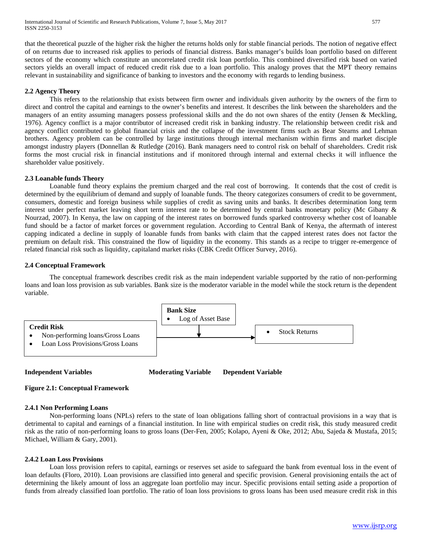that the theoretical puzzle of the higher risk the higher the returns holds only for stable financial periods. The notion of negative effect of on returns due to increased risk applies to periods of financial distress. Banks manager's builds loan portfolio based on different sectors of the economy which constitute an uncorrelated credit risk loan portfolio. This combined diversified risk based on varied sectors yields an overall impact of reduced credit risk due to a loan portfolio. This analogy proves that the MPT theory remains relevant in sustainability and significance of banking to investors and the economy with regards to lending business.

## **2.2 Agency Theory**

This refers to the relationship that exists between firm owner and individuals given authority by the owners of the firm to direct and control the capital and earnings to the owner's benefits and interest. It describes the link between the shareholders and the managers of an entity assuming managers possess professional skills and the do not own shares of the entity (Jensen & Meckling, 1976). Agency conflict is a major contributor of increased credit risk in banking industry. The relationship between credit risk and agency conflict contributed to global financial crisis and the collapse of the investment firms such as Bear Stearns and Lehman brothers. Agency problem can be controlled by large institutions through internal mechanism within firms and market disciple amongst industry players (Donnellan & Rutledge (2016). Bank managers need to control risk on behalf of shareholders. Credit risk forms the most crucial risk in financial institutions and if monitored through internal and external checks it will influence the shareholder value positively.

#### **2.3 Loanable funds Theory**

Loanable fund theory explains the premium charged and the real cost of borrowing. It contends that the cost of credit is determined by the equilibrium of demand and supply of loanable funds. The theory categorizes consumers of credit to be government, consumers, domestic and foreign business while supplies of credit as saving units and banks. It describes determination long term interest under perfect market leaving short term interest rate to be determined by central banks monetary policy (Mc Gibany & Nourzad, 2007). In Kenya, the law on capping of the interest rates on borrowed funds sparked controversy whether cost of loanable fund should be a factor of market forces or government regulation. According to Central Bank of Kenya, the aftermath of interest capping indicated a decline in supply of loanable funds from banks with claim that the capped interest rates does not factor the premium on default risk. This constrained the flow of liquidity in the economy. This stands as a recipe to trigger re-emergence of related financial risk such as liquidity, capitaland market risks (CBK Credit Officer Survey, 2016).

## **2.4 Conceptual Framework**

The conceptual framework describes credit risk as the main independent variable supported by the ratio of non-performing loans and loan loss provision as sub variables. Bank size is the moderator variable in the model while the stock return is the dependent variable.



**Independent Variables Moderating Variable Dependent Variable** 

## **Figure 2.1: Conceptual Framework**

#### **2.4.1 Non Performing Loans**

Non-performing loans (NPLs) refers to the state of loan obligations falling short of contractual provisions in a way that is detrimental to capital and earnings of a financial institution. In line with empirical studies on credit risk, this study measured credit risk as the ratio of non-performing loans to gross loans (Der-Fen, 2005; Kolapo, Ayeni & Oke, 2012; Abu, Sajeda & Mustafa, 2015; Michael, William & Gary, 2001).

#### **2.4.2 Loan Loss Provisions**

Loan loss provision refers to capital, earnings or reserves set aside to safeguard the bank from eventual loss in the event of loan defaults (Floro, 2010). Loan provisions are classified into general and specific provision. General provisioning entails the act of determining the likely amount of loss an aggregate loan portfolio may incur. Specific provisions entail setting aside a proportion of funds from already classified loan portfolio. The ratio of loan loss provisions to gross loans has been used measure credit risk in this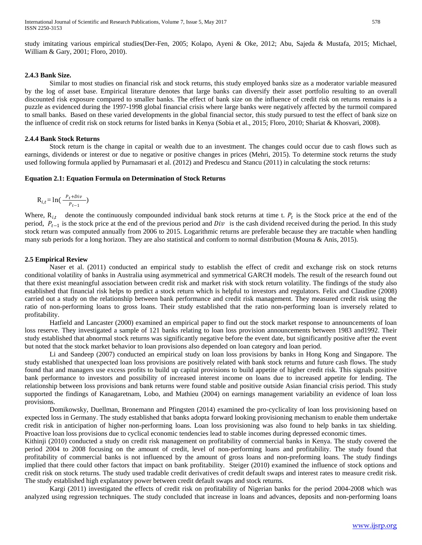study imitating various empirical studies(Der-Fen, 2005; Kolapo, Ayeni & Oke, 2012; Abu, Sajeda & Mustafa, 2015; Michael, William & Gary, 2001; Floro, 2010).

#### **2.4.3 Bank Size.**

Similar to most studies on financial risk and stock returns, this study employed banks size as a moderator variable measured by the log of asset base. Empirical literature denotes that large banks can diversify their asset portfolio resulting to an overall discounted risk exposure compared to smaller banks. The effect of bank size on the influence of credit risk on returns remains is a puzzle as evidenced during the 1997-1998 global financial crisis where large banks were negatively affected by the turmoil compared to small banks. Based on these varied developments in the global financial sector, this study pursued to test the effect of bank size on the influence of credit risk on stock returns for listed banks in Kenya (Sobia et al., 2015; Floro, 2010; Shariat & Khosvari, 2008).

#### **2.4.4 Bank Stock Returns**

Stock return is the change in capital or wealth due to an investment. The changes could occur due to cash flows such as earnings, dividends or interest or due to negative or positive changes in prices (Mehri, 2015). To determine stock returns the study used following formula applied by Purnamasari et al. (2012) and Predescu and Stancu (2011) in calculating the stock returns:

#### **Equation 2.1: Equation Formula on Determination of Stock Returns**

$$
R_{i,t} = \ln\left(\frac{P_t + Div}{P_{t-1}}\right)
$$

Where,  $R_{i,t}$  denote the continuously compounded individual bank stock returns at time t.  $P_t$  is the Stock price at the end of the period,  $P_{t-1}$  is the stock price at the end of the previous period and  $Div$  is the cash dividend received during the period. In this study stock return was computed annually from 2006 to 2015. Logarithmic returns are preferable because they are tractable when handling many sub periods for a long horizon. They are also statistical and conform to normal distribution (Mouna & Anis, 2015).

#### **2.5 Empirical Review**

Naser et al. (2011) conducted an empirical study to establish the effect of credit and exchange risk on stock returns conditional volatility of banks in Australia using asymmetrical and symmetrical GARCH models. The result of the research found out that there exist meaningful association between credit risk and market risk with stock return volatility. The findings of the study also established that financial risk helps to predict a stock return which is helpful to investors and regulators. Felix and Claudine (2008) carried out a study on the relationship between bank performance and credit risk management. They measured credit risk using the ratio of non-performing loans to gross loans. Their study established that the ratio non-performing loan is inversely related to profitability.

Hatfield and Lancaster (2000) examined an empirical paper to find out the stock market response to announcements of loan loss reserve. They investigated a sample of 121 banks relating to loan loss provision announcements between 1983 and1992. Their study established that abnormal stock returns was significantly negative before the event date, but significantly positive after the event but noted that the stock market behavior to loan provisions also depended on loan category and loan period.

Li and Sandeep (2007) conducted an empirical study on loan loss provisions by banks in Hong Kong and Singapore. The study established that unexpected loan loss provisions are positively related with bank stock returns and future cash flows. The study found that and managers use excess profits to build up capital provisions to build appetite of higher credit risk. This signals positive bank performance to investors and possibility of increased interest income on loans due to increased appetite for lending. The relationship between loss provisions and bank returns were found stable and positive outside Asian financial crisis period. This study supported the findings of Kanagaretnam, Lobo, and Mathieu (2004) on earnings management variability an evidence of loan loss provisions.

Domikowsky, Duellman, Bronemann and Pfingsten (2014) examined the pro-cyclicality of loan loss provisioning based on expected loss in Germany. The study established that banks adopta forward looking provisioning mechanism to enable them undertake credit risk in anticipation of higher non-performing loans. Loan loss provisioning was also found to help banks in tax shielding. Proactive loan loss provisions due to cyclical economic tendencies lead to stable incomes during depressed economic times.

Kithinji (2010) conducted a study on credit risk management on profitability of commercial banks in Kenya. The study covered the period 2004 to 2008 focusing on the amount of credit, level of non-performing loans and profitability. The study found that profitability of commercial banks is not influenced by the amount of gross loans and non-preforming loans. The study findings implied that there could other factors that impact on bank profitability. Steiger (2010) examined the influence of stock options and credit risk on stock returns. The study used tradable credit derivatives of credit default swaps and interest rates to measure credit risk. The study established high explanatory power between credit default swaps and stock returns.

Kargi (2011) investigated the effects of credit risk on profitability of Nigerian banks for the period 2004-2008 which was analyzed using regression techniques. The study concluded that increase in loans and advances, deposits and non-performing loans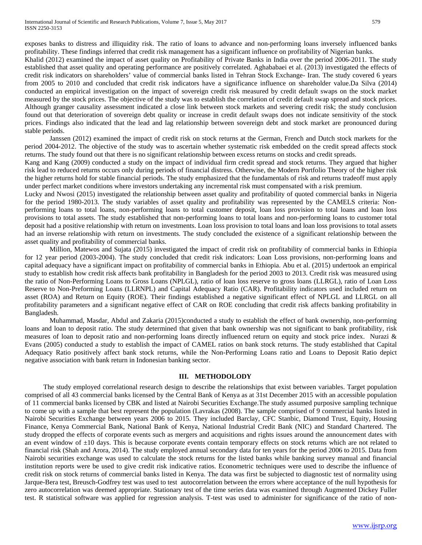exposes banks to distress and illiquidity risk. The ratio of loans to advance and non-performing loans inversely influenced banks profitability. These findings inferred that credit risk management has a significant influence on profitability of Nigerian banks.

Khalid (2012) examined the impact of asset quality on Profitability of Private Banks in India over the period 2006-2011. The study established that asset quality and operating performance are positively correlated. Aghababaei et al. (2013) investigated the effects of credit risk indicators on shareholders' value of commercial banks listed in Tehran Stock Exchange- Iran. The study covered 6 years from 2005 to 2010 and concluded that credit risk indicators have a significance influence on shareholder value.Da Silva (2014) conducted an empirical investigation on the impact of sovereign credit risk measured by credit default swaps on the stock market measured by the stock prices. The objective of the study was to establish the correlation of credit default swap spread and stock prices. Although granger causality assessment indicated a close link between stock markets and severing credit risk; the study conclusion found out that deterioration of sovereign debt quality or increase in credit default swaps does not indicate sensitivity of the stock prices. Findings also indicated that the lead and lag relationship between sovereign debt and stock market are pronounced during stable periods.

Janssen (2012) examined the impact of credit risk on stock returns at the German, French and Dutch stock markets for the period 2004-2012. The objective of the study was to ascertain whether systematic risk embedded on the credit spread affects stock returns. The study found out that there is no significant relationship between excess returns on stocks and credit spreads.

Kang and Kang (2009) conducted a study on the impact of individual firm credit spread and stock returns. They argued that higher risk lead to reduced returns occurs only during periods of financial distress. Otherwise, the Modern Portfolio Theory of the higher risk the higher returns hold for stable financial periods. The study emphasized that the fundamentals of risk and returns tradeoff must apply under perfect market conditions where investors undertaking any incremental risk must compensated with a risk premium.

Lucky and Nwosi (2015) investigated the relationship between asset quality and profitability of quoted commercial banks in Nigeria for the period 1980-2013. The study variables of asset quality and profitability was represented by the CAMELS criteria: Nonperforming loans to total loans, non-performing loans to total customer deposit, loan loss provision to total loans and loan loss provisions to total assets. The study established that non-performing loans to total loans and non-performing loans to customer total deposit had a positive relationship with return on investments. Loan loss provision to total loans and loan loss provisions to total assets had an inverse relationship with return on investments. The study concluded the existence of a significant relationship between the asset quality and profitability of commercial banks.

Million, Matewos and Sujata (2015) investigated the impact of credit risk on profitability of commercial banks in Ethiopia for 12 year period (2003-2004). The study concluded that credit risk indicators: Loan Loss provisions, non-performing loans and capital adequacy have a significant impact on profitability of commercial banks in Ethiopia. Abu et al. (2015) undertook an empirical study to establish how credit risk affects bank profitability in Bangladesh for the period 2003 to 2013. Credit risk was measured using the ratio of Non-Performing Loans to Gross Loans (NPLGL), ratio of loan loss reserve to gross loans (LLRGL), ratio of Loan Loss Reserve to Non-Preforming Loans (LLRNPL) and Capital Adequacy Ratio (CAR). Profitability indicators used included return on asset (ROA) and Return on Equity (ROE). Their findings established a negative significant effect of NPLGL and LLRGL on all profitability parameters and a significant negative effect of CAR on ROE concluding that credit risk affects banking profitability in Bangladesh.

Muhammad, Masdar, Abdul and Zakaria (2015)conducted a study to establish the effect of bank ownership, non-performing loans and loan to deposit ratio. The study determined that given that bank ownership was not significant to bank profitability, risk measures of loan to deposit ratio and non-performing loans directly influenced return on equity and stock price index. Nurazi & Evans (2005) conducted a study to establish the impact of CAMEL ratios on bank stock returns. The study established that Capital Adequacy Ratio positively affect bank stock returns, while the Non-Performing Loans ratio and Loans to Deposit Ratio depict negative association with bank return in Indonesian banking sector.

## **III. METHODOLODY**

The study employed correlational research design to describe the relationships that exist between variables. Target population comprised of all 43 commercial banks licensed by the Central Bank of Kenya as at 31st December 2015 with an accessible population of 11 commercial banks licensed by CBK and listed at Nairobi Securities Exchange.The study assumed purposive sampling technique to come up with a sample that best represent the population (Lavrakas (2008). The sample comprised of 9 commercial banks listed in Nairobi Securities Exchange between years 2006 to 2015. They included Barclay, CFC Stanbic, Diamond Trust, Equity, Housing Finance, Kenya Commercial Bank, National Bank of Kenya, National Industrial Credit Bank (NIC) and Standard Chartered. The study dropped the effects of corporate events such as mergers and acquisitions and rights issues around the announcement dates with an event window of  $\pm 10$  days. This is because corporate events contain temporary effects on stock returns which are not related to financial risk (Shah and Arora, 2014). The study employed annual secondary data for ten years for the period 2006 to 2015. Data from Nairobi securities exchange was used to calculate the stock returns for the listed banks while banking survey manual and financial institution reports were be used to give credit risk indicative ratios. Econometric techniques were used to describe the influence of credit risk on stock returns of commercial banks listed in Kenya. The data was first be subjected to diagnostic test of normality using Jarque-Bera test, Breusch-Godfrey test was used to test autocorrelation between the errors where acceptance of the null hypothesis for zero autocorrelation was deemed appropriate. Stationary test of the time series data was examined through Augmented Dickey Fuller test. R statistical software was applied for regression analysis. T-test was used to administer for significance of the ratio of non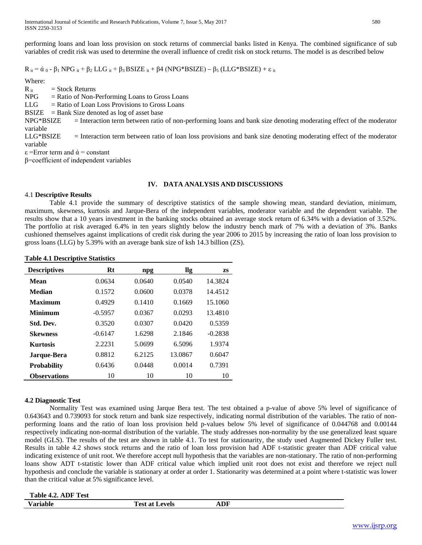performing loans and loan loss provision on stock returns of commercial banks listed in Kenya. The combined significance of sub variables of credit risk was used to determine the overall influence of credit risk on stock returns. The model is as described below

 $R_{it} = \alpha_0 - \beta_1 NPG_{it} + \beta_2 LLG_{it} + \beta_3 BSIZE_{it} + \beta4 (NPG*BSIZE) - \beta5 (LLG*BSIZE) + \epsilon_{it}$ 

Where:  $R_{it}$  = Stock Returns  $NPG = Ratio of Non-Performing Loans to Gross Loans$  $LLG =$ Ratio of Loan Loss Provisions to Gross Loans  $BSIZE$  = Bank Size denoted as log of asset base NPG\*BSIZE = Interaction term between ratio of non-performing loans and bank size denoting moderating effect of the moderator variable LLG\*BSIZE = Interaction term between ratio of loan loss provisions and bank size denoting moderating effect of the moderator variable  $\epsilon$  =Error term and  $\dot{\alpha}$  = constant β=coefficient of independent variables

## **IV. DATA ANALYSIS AND DISCUSSIONS**

## 4.1 **Descriptive Results**

Table 4.1 provide the summary of descriptive statistics of the sample showing mean, standard deviation, minimum, maximum, skewness, kurtosis and Jarque-Bera of the independent variables, moderator variable and the dependent variable. The results show that a 10 years investment in the banking stocks obtained an average stock return of 6.34% with a deviation of 3.52%. The portfolio at risk averaged 6.4% in ten years slightly below the industry bench mark of 7% with a deviation of 3%. Banks cushioned themselves against implications of credit risk during the year 2006 to 2015 by increasing the ratio of loan loss provision to gross loans (LLG) by 5.39% with an average bank size of ksh 14.3 billion (ZS).

**Table 4.1 Descriptive Statistics**

| <b>Descriptives</b> | Rt        | npg    | llg     | <b>ZS</b> |
|---------------------|-----------|--------|---------|-----------|
| Mean                | 0.0634    | 0.0640 | 0.0540  | 14.3824   |
| <b>Median</b>       | 0.1572    | 0.0600 | 0.0378  | 14.4512   |
| <b>Maximum</b>      | 0.4929    | 0.1410 | 0.1669  | 15.1060   |
| <b>Minimum</b>      | $-0.5957$ | 0.0367 | 0.0293  | 13.4810   |
| Std. Dev.           | 0.3520    | 0.0307 | 0.0420  | 0.5359    |
| <b>Skewness</b>     | $-0.6147$ | 1.6298 | 2.1846  | $-0.2838$ |
| <b>Kurtosis</b>     | 2.2231    | 5.0699 | 6.5096  | 1.9374    |
| Jarque-Bera         | 0.8812    | 6.2125 | 13.0867 | 0.6047    |
| <b>Probability</b>  | 0.6436    | 0.0448 | 0.0014  | 0.7391    |
| <b>Observations</b> | 10        | 10     | 10      | 10        |

## **4.2 Diagnostic Test**

Normality Test was examined using Jarque Bera test. The test obtained a p-value of above 5% level of significance of 0.643643 and 0.739093 for stock return and bank size respectively, indicating normal distribution of the variables. The ratio of nonperforming loans and the ratio of loan loss provision held p-values below 5% level of significance of 0.044768 and 0.00144 respectively indicating non-normal distribution of the variable. The study addresses non-normality by the use generalized least square model (GLS). The results of the test are shown in table 4.1. To test for stationarity, the study used Augmented Dickey Fuller test. Results in table 4.2 shows stock returns and the ratio of loan loss provision had ADF t-statistic greater than ADF critical value indicating existence of unit root. We therefore accept null hypothesis that the variables are non-stationary. The ratio of non-performing loans show ADT t-statistic lower than ADF critical value which implied unit root does not exist and therefore we reject null hypothesis and conclude the variable is stationary at order at order 1. Stationarity was determined at a point where t-statistic was lower than the critical value at 5% significance level.

| Table 4.2. ADF Test |                       |     |
|---------------------|-----------------------|-----|
| Variable            | <b>Test at Levels</b> | ADF |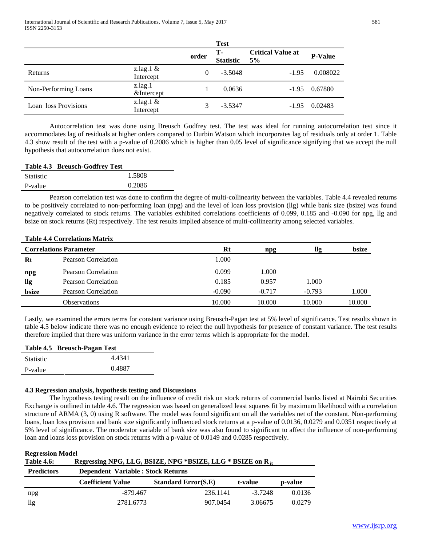|                      |                           |          | <b>Test</b>            |                                |                |
|----------------------|---------------------------|----------|------------------------|--------------------------------|----------------|
|                      |                           | order    | Т-<br><b>Statistic</b> | <b>Critical Value at</b><br>5% | <b>P-Value</b> |
| Returns              | z.lag.1 $\&$<br>Intercept | $\Omega$ | $-3.5048$              | $-1.95$                        | 0.008022       |
| Non-Performing Loans | z.lag.1<br>&Intercept     |          | 0.0636                 | $-1.95$                        | 0.67880        |
| Loan loss Provisions | z.lag. $1 &$<br>Intercept |          | $-3.5347$              | $-1.95$                        | 0.02483        |

Autocorrelation test was done using Breusch Godfrey test. The test was ideal for running autocorrelation test since it accommodates lag of residuals at higher orders compared to Durbin Watson which incorporates lag of residuals only at order 1. Table 4.3 show result of the test with a p-value of 0.2086 which is higher than 0.05 level of significance signifying that we accept the null hypothesis that autocorrelation does not exist.

|                  | Table 4.3 Breusch-Godfrey Test |        |
|------------------|--------------------------------|--------|
| <b>Statistic</b> |                                | 1.5808 |

| 0.2086<br>P-value   |  |
|---------------------|--|
| Statistic<br>1.9000 |  |

Pearson correlation test was done to confirm the degree of multi-collinearity between the variables. Table 4.4 revealed returns to be positively correlated to non-performing loan (npg) and the level of loan loss provision (llg) while bank size (bsize) was found negatively correlated to stock returns. The variables exhibited correlations coefficients of 0.099, 0.185 and -0.090 for npg, llg and bsize on stock returns (Rt) respectively. The test results implied absence of multi-collinearity among selected variables.

## **Table 4.4 Correlations Matrix**

|       | <b>Correlations Parameter</b> | Rt       | npg      | llg      | bsize  |
|-------|-------------------------------|----------|----------|----------|--------|
| Rt    | Pearson Correlation           | 1.000    |          |          |        |
| npg   | Pearson Correlation           | 0.099    | 1.000    |          |        |
| llg   | Pearson Correlation           | 0.185    | 0.957    | 1.000    |        |
| bsize | <b>Pearson Correlation</b>    | $-0.090$ | $-0.717$ | $-0.793$ | 1.000  |
|       | Observations                  | 10.000   | 10.000   | 10.000   | 10.000 |

Lastly, we examined the errors terms for constant variance using Breusch-Pagan test at 5% level of significance. Test results shown in table 4.5 below indicate there was no enough evidence to reject the null hypothesis for presence of constant variance. The test results therefore implied that there was uniform variance in the error terms which is appropriate for the model.

|                  | Table 4.5 Breusch-Pagan Test |  |  |
|------------------|------------------------------|--|--|
| <b>Statistic</b> | 4.4341                       |  |  |
| P-value          | 0.4887                       |  |  |

# **4.3 Regression analysis, hypothesis testing and Discussions**

The hypothesis testing result on the influence of credit risk on stock returns of commercial banks listed at Nairobi Securities Exchange is outlined in table 4.6. The regression was based on generalized least squares fit by maximum likelihood with a correlation structure of ARMA (3, 0) using R software. The model was found significant on all the variables net of the constant. Non-performing loans, loan loss provision and bank size significantly influenced stock returns at a p-value of 0.0136, 0.0279 and 0.0351 respectively at 5% level of significance. The moderator variable of bank size was also found to significant to affect the influence of non-performing loan and loans loss provision on stock returns with a p-value of 0.0149 and 0.0285 respectively.

## **Regression Model**

| --------------<br>Regressing NPG, LLG, BSIZE, NPG *BSIZE, LLG * BSIZE on R <sub>it</sub><br><b>Table 4.6:</b> |                                           |                            |         |         |  |
|---------------------------------------------------------------------------------------------------------------|-------------------------------------------|----------------------------|---------|---------|--|
| <b>Predictors</b>                                                                                             | <b>Dependent Variable : Stock Returns</b> |                            |         |         |  |
|                                                                                                               | <b>Coefficient Value</b>                  | <b>Standard Error(S.E)</b> | t-value | p-value |  |
| npg                                                                                                           | -879.467                                  | 236.1141                   | -3.7248 | 0.0136  |  |
| llg                                                                                                           | 2781.6773                                 | 907.0454                   | 3.06675 | 0.0279  |  |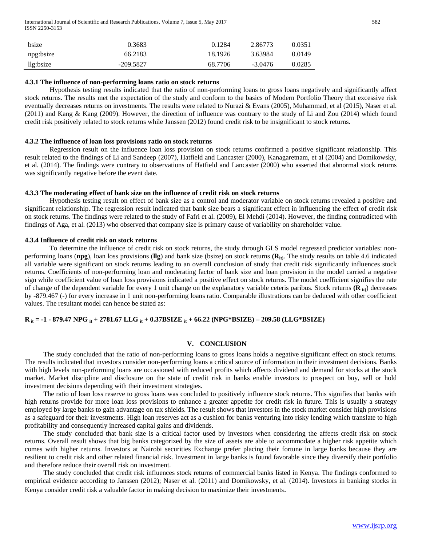International Journal of Scientific and Research Publications, Volume 7, Issue 5, May 2017 582 ISSN 2250-3153

| bsize     | 0.3683      | 0.1284  | 2.86773   | 0.0351 |
|-----------|-------------|---------|-----------|--------|
| npg:bsize | 66.2183     | 18.1926 | 3.63984   | 0.0149 |
| llg:bsize | $-209.5827$ | 68.7706 | $-3.0476$ | 0.0285 |

#### **4.3.1 The influence of non-performing loans ratio on stock returns**

Hypothesis testing results indicated that the ratio of non-performing loans to gross loans negatively and significantly affect stock returns. The results met the expectation of the study and conform to the basics of Modern Portfolio Theory that excessive risk eventually decreases returns on investments. The results were related to Nurazi & Evans (2005), Muhammad, et al (2015), Naser et al. (2011) and Kang & Kang (2009). However, the direction of influence was contrary to the study of Li and Zou (2014) which found credit risk positively related to stock returns while Janssen (2012) found credit risk to be insignificant to stock returns.

#### **4.3.2 The influence of loan loss provisions ratio on stock returns**

Regression result on the influence loan loss provision on stock returns confirmed a positive significant relationship. This result related to the findings of Li and Sandeep (2007), Hatfield and Lancaster (2000), Kanagaretnam, et al (2004) and Domikowsky, et al. (2014). The findings were contrary to observations of Hatfield and Lancaster (2000) who asserted that abnormal stock returns was significantly negative before the event date.

#### **4.3.3 The moderating effect of bank size on the influence of credit risk on stock returns**

Hypothesis testing result on effect of bank size as a control and moderator variable on stock returns revealed a positive and significant relationship. The regression result indicated that bank size bears a significant effect in influencing the effect of credit risk on stock returns. The findings were related to the study of Fafri et al. (2009), El Mehdi (2014). However, the finding contradicted with findings of Aga, et al. (2013) who observed that company size is primary cause of variability on shareholder value.

#### **4.3.4 Influence of credit risk on stock returns**

To determine the influence of credit risk on stock returns, the study through GLS model regressed predictor variables: nonperforming loans (**npg**), loan loss provisions (**llg**) and bank size (bsize) on stock returns **(Rit)**. The study results on table 4.6 indicated all variable were significant on stock returns leading to an overall conclusion of study that credit risk significantly influences stock returns. Coefficients of non-performing loan and moderating factor of bank size and loan provision in the model carried a negative sign while coefficient value of loan loss provisions indicated a positive effect on stock returns. The model coefficient signifies the rate of change of the dependent variable for every 1 unit change on the explanatory variable ceteris paribus. Stock returns **(R it)**) decreases by -879.467 (-) for every increase in 1 unit non-performing loans ratio. Comparable illustrations can be deduced with other coefficient values. The resultant model can hence be stated as:

## **R it = -1 - 879.47 NPG it + 2781.67 LLG it + 0.37BSIZE it + 66.22 (NPG\*BSIZE) – 209.58 (LLG\*BSIZE)**

#### **V. CONCLUSION**

The study concluded that the ratio of non-performing loans to gross loans holds a negative significant effect on stock returns. The results indicated that investors consider non-performing loans a critical source of information in their investment decisions. Banks with high levels non-performing loans are occasioned with reduced profits which affects dividend and demand for stocks at the stock market. Market discipline and disclosure on the state of credit risk in banks enable investors to prospect on buy, sell or hold investment decisions depending with their investment strategies.

The ratio of loan loss reserve to gross loans was concluded to positively influence stock returns. This signifies that banks with high returns provide for more loan loss provisions to enhance a greater appetite for credit risk in future. This is usually a strategy employed by large banks to gain advantage on tax shields. The result shows that investors in the stock market consider high provisions as a safeguard for their investments. High loan reserves act as a cushion for banks venturing into risky lending which translate to high profitability and consequently increased capital gains and dividends.

The study concluded that bank size is a critical factor used by investors when considering the affects credit risk on stock returns. Overall result shows that big banks categorized by the size of assets are able to accommodate a higher risk appetite which comes with higher returns. Investors at Nairobi securities Exchange prefer placing their fortune in large banks because they are resilient to credit risk and other related financial risk. Investment in large banks is found favorable since they diversify their portfolio and therefore reduce their overall risk on investment.

The study concluded that credit risk influences stock returns of commercial banks listed in Kenya. The findings conformed to empirical evidence according to Janssen (2012); Naser et al. (2011) and Domikowsky, et al. (2014). Investors in banking stocks in Kenya consider credit risk a valuable factor in making decision to maximize their investments.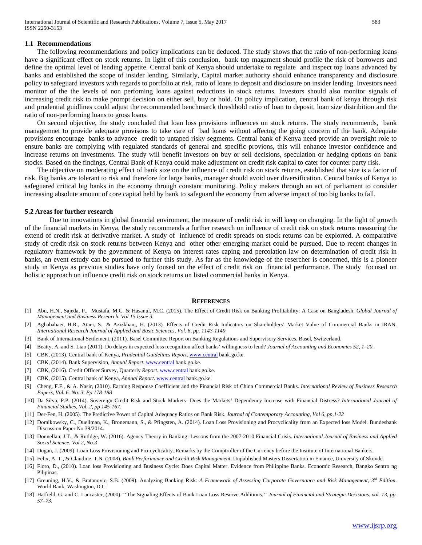#### **1.1 Recommendations**

The following recommendations and policy implications can be deduced. The study shows that the ratio of non-performing loans have a significant effect on stock returns. In light of this conclusion, bank top magament should profile the risk of borrowers and define the optimal level of lending appetite. Central bank of Kenya should undertake to regulate and inspect top loans advanced by banks and established the scope of insider lending. Similarly, Capital market authority should enhance transparency and disclosure policy to safeguard investors with regards to portfolio at risk, ratio of loans to deposit and disclosure on insider lending. Investors need monitor of the the levels of non perfoming loans against reductions in stock returns. Investors should also monitor signals of increasing credit risk to make prompt decision on either sell, buy or hold. On policy implication, central bank of kenya through risk and prudential guidlines could adjust the recommended benchmarck threshhold ratio of loan to deposit, loan size distribition and the ratio of non-performing loans to gross loans.

On second objective, the study concluded that loan loss provisions influences on stock returns. The study recommends, bank managemnet to provide adequate provisons to take care of bad loans without affectng the going concern of the bank. Adequate provisions encourage banks to advance credit to untaped risky segments. Central bank of Kenya need provide an oversight role to ensure banks are complying with regulated standards of general and specific provions, this will enhance investor confidence and increase returns on investments. The study will benefit investors on buy or sell decisions, speculation or hedging options on bank stocks. Based on the findings, Central Bank of Kenya could make adjustment on credit risk capital to cater for counter party risk.

The objective on moderating effect of bank size on the influence of credit risk on stock returns, established that size is a factor of risk. Big banks are tolerant to risk and therefore for large banks, manager should avoid over diversification. Central banks of Kenya to safeguared critical big banks in the economy through constant monitoring. Policy makers through an act of parliament to consider increasing absolute amount of core capital held by bank to safeguard the economy from adverse impact of too big banks to fall.

#### **5.2 Areas for further research**

Due to innovations in global financial enviroment, the measure of credit risk in will keep on changing. In the light of growth of the financial markets in Kenya, the study recommends a further research on influence of credit risk on stock returns measuring the extend of credit risk at derivative market. A study of influence of credit spreads on stock returns can be explorred. A comparative study of credit risk on stock returns between Kenya and other other emerging market could be pursued. Due to recent changes in regulatory framework by the government of Kenya on interest rates caping and percolation law on determination of credit risk in banks, an event estudy can be pursued to further this study. As far as the knowledge of the resercher is concerned, this is a pioneer study in Kenya as previous studies have only foused on the effect of credit risk on financial performance. The study focused on holistic approach on influence credit risk on stock returns on listed commercial banks in Kenya.

#### **REFERENCES**

- [1] Abu, H.N., Sajeda, P., Mustafa, M.C. & Hasanul, M.C. (2015). The Effect of Credit Risk on Banking Profitability: A Case on Bangladesh. *Global Journal of Management and Business Research. Vol 15 Issue 3.*
- [2] Aghababaei, H.R., Ataei, S., & Azizkhani, H. (2013). Effects of Credit Risk Indicators on Shareholders' Market Value of Commercial Banks in IRAN. *International Research Journal of Applied and Basic Sciences, Vol. 6, pp. 1143-1149*
- [3] Bank of International Settlement, (2011). Basel Committee Report on Banking Regulations and Supervisory Services. Basel, Switzerland.
- [4] Beatty, A. and S. Liao (2011). Do delays in expected loss recognition affect banks' willingness to lend? *Journal of Accounting and Economics 52, 1–20.*
- [5] CBK, (2013). Central bank of Kenya, *Prudential Guidelines Report*[. www.central](http://www.central/) bank.go.ke.
- [6] CBK, (2014). Bank Supervision, *Annual Report*. [www.central](http://www.central/) bank.go.ke.
- [7] CBK, (2016). Credit Officer Survey, Quarterly *Report*. [www.central](http://www.central/) bank.go.ke.
- [8] CBK, (2015). Central bank of Kenya, *Annual Report*[. www.central](http://www.central/) bank.go.ke.
- [9] Cheng, F.F., & A. Nasir, (2010). Earning Response Coefficient and the Financial Risk of China Commercial Banks. *International Review of Business Research Papers, Vol. 6. No. 3. Pp 178-188*
- [10] Da Silva, P.P. (2014). Sovereign Credit Risk and Stock Markets- Does the Markets' Dependency Increase with Financial Distress? *International Journal of Financial Studies, Vol. 2, pp 145-167.*
- [11] Der-Fen, H. (2005). The Predictive Power of Capital Adequacy Ratios on Bank Risk. *Journal of Contemporary Accounting, Vol 6, pp,1-22*
- [12] Domikowsky, C., Duellman, K., Bronemann, S., & Pfingsten, A. (2014). Loan Loss Provisioning and Procyclicality from an Expected loss Model. Bundesbank Discussion Paper No 39/2014.
- [13] Donnellan, J.T., & Rutldge, W. (2016). Agency Theory in Banking: Lessons from the 2007-2010 Financial Crisis. *International Journal of Business and Applied Social Science. Vol.2, No.3*
- [14] Dugan, J. (2009). Loan Loss Provisioning and Pro-cyclicality. Remarks by the Comptroller of the Currency before the Institute of International Bankers.
- [15] Felix, A. T., & Claudine, T.N. (2008). *Bank Performance and Credit Risk Management.* Unpublished Masters Dissertation in Finance, University of Skovde.
- [16] Floro, D., (2010). Loan loss Provisioning and Business Cycle: Does Capital Matter. Evidence from Philippine Banks. Economic Research, Bangko Sentro ng Pilipinas.
- [17] Greuning, H.V., & Bratanovic, S.B. (2009). Analyzing Banking Risk: *A Framework of Assessing Corporate Governance and Risk Management, 3rd Edition*. World Bank, Washington, D.C.
- [18] Hatfield, G. and C. Lancaster, (2000). "The Signaling Effects of Bank Loan Loss Reserve Additions," *Journal of Financial and Strategic Decisions, vol. 13, pp. 57–73*.